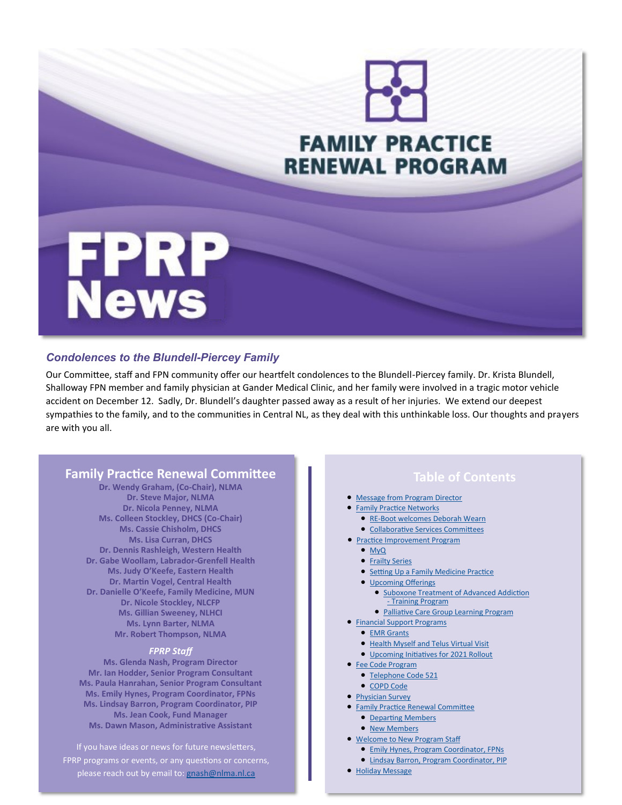

#### *Condolences to the Blundell-Piercey Family*

Our Committee, staff and FPN community offer our heartfelt condolences to the Blundell-Piercey family. Dr. Krista Blundell, Shalloway FPN member and family physician at Gander Medical Clinic, and her family were involved in a tragic motor vehicle accident on December 12. Sadly, Dr. Blundell's daughter passed away as a result of her injuries. We extend our deepest sympathies to the family, and to the communities in Central NL, as they deal with this unthinkable loss. Our thoughts and prayers are with you all.

#### **Family Practice Renewal Committee**

**Dr. Wendy Graham, (Co-Chair), NLMA Dr. Steve Major, NLMA Dr. Nicola Penney, NLMA Ms. Colleen Stockley, DHCS (Co-Chair) Ms. Cassie Chisholm, DHCS Ms. Lisa Curran, DHCS Dr. Dennis Rashleigh, Western Health Dr. Gabe Woollam, Labrador-Grenfell Health Ms. Judy O'Keefe, Eastern Health Dr. Martin Vogel, Central Health Dr. Danielle O'Keefe, Family Medicine, MUN Dr. Nicole Stockley, NLCFP Ms. Gillian Sweeney, NLHCI Ms. Lynn Barter, NLMA Mr. Robert Thompson, NLMA** 

#### *FPRP Staff*

**Ms. Glenda Nash, Program Director Mr. Ian Hodder, Senior Program Consultant Ms. Paula Hanrahan, Senior Program Consultant Ms. Emily Hynes, Program Coordinator, FPNs Ms. Lindsay Barron, Program Coordinator, PIP Ms. Jean Cook, Fund Manager Ms. Dawn Mason, Administrative Assistant**

If you have ideas or news for future newsletters, FPRP programs or events, or any questions or concerns, please reach out by email to: [gnash@nlma.nl.ca](mailto:gnash@nlma.nl.ca?subject=FPRP)

### **Table of Contents**

- [Message from Program Director](#page-1-0)
- **[Family Practice Networks](#page-2-0)** 
	- RE-[Boot welcomes Deborah Wearn](#page-2-0)
	- [Collaborative Services Committees](#page-2-0)
- [Practice Improvement Program](#page-3-0)
	- [MyQ](#page-3-0)
	- [Frailty Series](#page-3-0)
	- [Setting Up a Family Medicine Practice](#page-3-0)
	- [Upcoming Offerings](#page-3-0)
		- [Suboxone Treatment of Advanced Addiction](#page-3-0) - [Training Program](#page-3-0)
		- [Palliative Care Group Learning Program](#page-3-0)
- [Financial Support Programs](#page-4-0)
	- [EMR Grants](#page-4-0)
	- [Health Myself and Telus Virtual Visit](#page-4-0)
	- [Upcoming Initiatives for 2021 Rollout](#page-4-0)
- [Fee Code Program](#page-4-0)
	- [Telephone Code 521](#page-4-0)
- [COPD Code](#page-5-0)
- [Physician Survey](#page-5-0)
- **Family Practice Renewal Committee** 
	- [Departing Members](#page-5-0)
	- [New Members](#page-5-0)
- [Welcome to New Program Staff](#page-6-0)
	- [Emily Hynes, Program Coordinator, FPNs](#page-6-0)
	- [Lindsay Barron, Program Coordinator, PIP](#page-6-0)
- [Holiday Message](#page-6-0)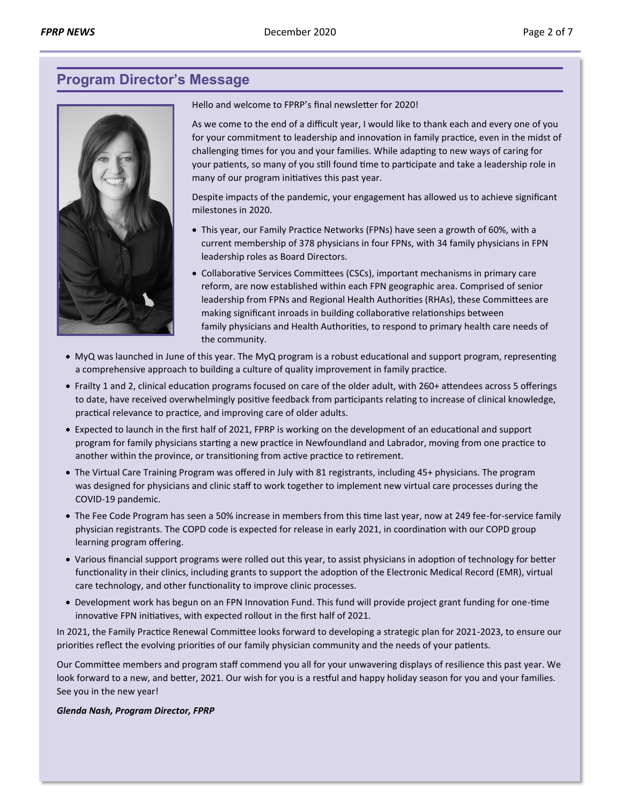# <span id="page-1-0"></span>**Program Director's Message**



Hello and welcome to FPRP's final newsletter for 2020!

As we come to the end of a difficult year, I would like to thank each and every one of you for your commitment to leadership and innovation in family practice, even in the midst of challenging times for you and your families. While adapting to new ways of caring for your patients, so many of you still found time to participate and take a leadership role in many of our program initiatives this past year.

Despite impacts of the pandemic, your engagement has allowed us to achieve significant milestones in 2020.

- This year, our Family Practice Networks (FPNs) have seen a growth of 60%, with a current membership of 378 physicians in four FPNs, with 34 family physicians in FPN leadership roles as Board Directors.
- Collaborative Services Committees (CSCs), important mechanisms in primary care reform, are now established within each FPN geographic area. Comprised of senior leadership from FPNs and Regional Health Authorities (RHAs), these Committees are making significant inroads in building collaborative relationships between family physicians and Health Authorities, to respond to primary health care needs of the community.
- MyQ was launched in June of this year. The MyQ program is a robust educational and support program, representing a comprehensive approach to building a culture of quality improvement in family practice.
- Frailty 1 and 2, clinical education programs focused on care of the older adult, with 260+ attendees across 5 offerings to date, have received overwhelmingly positive feedback from participants relating to increase of clinical knowledge, practical relevance to practice, and improving care of older adults.
- Expected to launch in the first half of 2021, FPRP is working on the development of an educational and support program for family physicians starting a new practice in Newfoundland and Labrador, moving from one practice to another within the province, or transitioning from active practice to retirement.
- The Virtual Care Training Program was offered in July with 81 registrants, including 45+ physicians. The program was designed for physicians and clinic staff to work together to implement new virtual care processes during the COVID-19 pandemic.
- The Fee Code Program has seen a 50% increase in members from this time last year, now at 249 fee-for-service family physician registrants. The COPD code is expected for release in early 2021, in coordination with our COPD group learning program offering.
- Various financial support programs were rolled out this year, to assist physicians in adoption of technology for better functionality in their clinics, including grants to support the adoption of the Electronic Medical Record (EMR), virtual care technology, and other functionality to improve clinic processes.
- Development work has begun on an FPN Innovation Fund. This fund will provide project grant funding for one-time innovative FPN initiatives, with expected rollout in the first half of 2021.

In 2021, the Family Practice Renewal Committee looks forward to developing a strategic plan for 2021-2023, to ensure our priorities reflect the evolving priorities of our family physician community and the needs of your patients.

Our Committee members and program staff commend you all for your unwavering displays of resilience this past year. We look forward to a new, and better, 2021. Our wish for you is a restful and happy holiday season for you and your families. See you in the new year!

#### *Glenda Nash, Program Director, FPRP*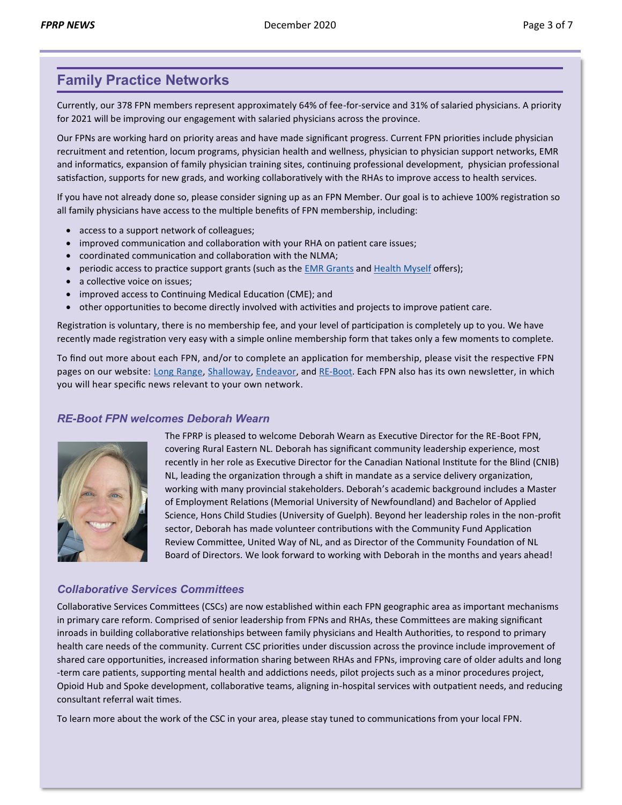# <span id="page-2-0"></span>**Family Practice Networks**

Currently, our 378 FPN members represent approximately 64% of fee-for-service and 31% of salaried physicians. A priority for 2021 will be improving our engagement with salaried physicians across the province.

Our FPNs are working hard on priority areas and have made significant progress. Current FPN priorities include physician recruitment and retention, locum programs, physician health and wellness, physician to physician support networks, EMR and informatics, expansion of family physician training sites, continuing professional development, physician professional satisfaction, supports for new grads, and working collaboratively with the RHAs to improve access to health services.

If you have not already done so, please consider signing up as an FPN Member. Our goal is to achieve 100% registration so all family physicians have access to the multiple benefits of FPN membership, including:

- access to a support network of colleagues;
- improved communication and collaboration with your RHA on patient care issues;
- coordinated communication and collaboration with the NLMA;
- periodic access to practice support grants (such as the [EMR Grants](http://familypracticerenewalnl.ca/wp-content/uploads/2020/01/2020.01.30_Financial_support_for_family_medicine_EMR_users_enrolled_in_eDOCSNL.pdf) and [Health Myself](http://familypracticerenewalnl.ca/2020/10/02/healthmyselfandtelusemrvirtualvisit/) offers);
- a collective voice on issues;
- improved access to Continuing Medical Education (CME); and
- other opportunities to become directly involved with activities and projects to improve patient care.

Registration is voluntary, there is no membership fee, and your level of participation is completely up to you. We have recently made registration very easy with a simple online membership form that takes only a few moments to complete.

To find out more about each FPN, and/or to complete an application for membership, please visit the respective FPN pages on our website: [Long Range,](http://familypracticerenewalnl.ca/family-practice-networks/long-range-fpn/) [Shalloway,](http://familypracticerenewalnl.ca/family-practice-networks/shalloway-fpn/) [Endeavor,](http://familypracticerenewalnl.ca/family-practice-networks/endeavor-fpn/) and RE-[Boot.](http://familypracticerenewalnl.ca/family-practice-networks/re-boot-fpn/) Each FPN also has its own newsletter, in which you will hear specific news relevant to your own network.

#### *RE-Boot FPN welcomes Deborah Wearn*



The FPRP is pleased to welcome Deborah Wearn as Executive Director for the RE-Boot FPN, covering Rural Eastern NL. Deborah has significant community leadership experience, most recently in her role as Executive Director for the Canadian National Institute for the Blind (CNIB) NL, leading the organization through a shift in mandate as a service delivery organization, working with many provincial stakeholders. Deborah's academic background includes a Master of Employment Relations (Memorial University of Newfoundland) and Bachelor of Applied Science, Hons Child Studies (University of Guelph). Beyond her leadership roles in the non-profit sector, Deborah has made volunteer contributions with the Community Fund Application Review Committee, United Way of NL, and as Director of the Community Foundation of NL Board of Directors. We look forward to working with Deborah in the months and years ahead!

#### *Collaborative Services Committees*

Collaborative Services Committees (CSCs) are now established within each FPN geographic area as important mechanisms in primary care reform. Comprised of senior leadership from FPNs and RHAs, these Committees are making significant inroads in building collaborative relationships between family physicians and Health Authorities, to respond to primary health care needs of the community. Current CSC priorities under discussion across the province include improvement of shared care opportunities, increased information sharing between RHAs and FPNs, improving care of older adults and long -term care patients, supporting mental health and addictions needs, pilot projects such as a minor procedures project, Opioid Hub and Spoke development, collaborative teams, aligning in-hospital services with outpatient needs, and reducing consultant referral wait times.

To learn more about the work of the CSC in your area, please stay tuned to communications from your local FPN.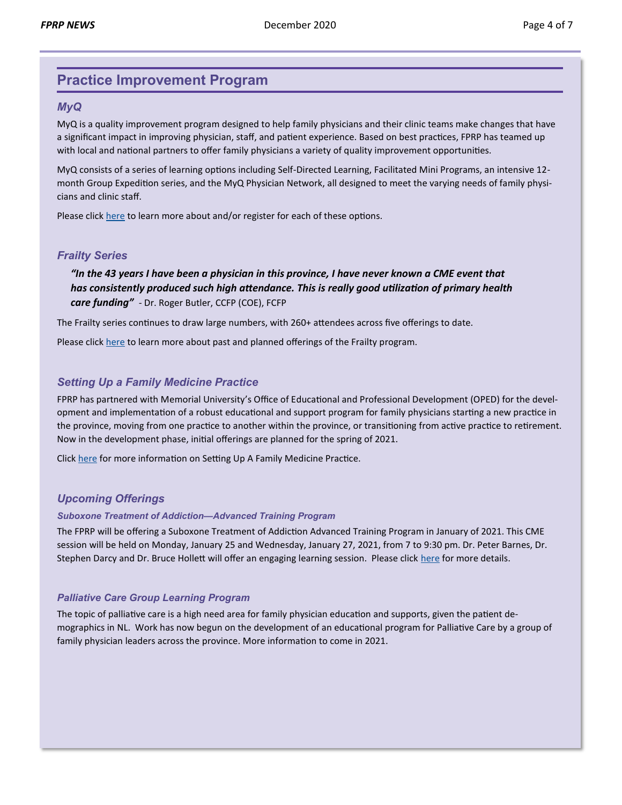# <span id="page-3-0"></span>**Practice Improvement Program**

#### *MyQ*

MyQ is a quality improvement program designed to help family physicians and their clinic teams make changes that have a significant impact in improving physician, staff, and patient experience. Based on best practices, FPRP has teamed up with local and national partners to offer family physicians a variety of quality improvement opportunities.

MyQ consists of a series of learning options including Self-Directed Learning, Facilitated Mini Programs, an intensive 12 month Group Expedition series, and the MyQ Physician Network, all designed to meet the varying needs of family physicians and clinic staff.

Please click [here](http://familypracticerenewalnl.ca/wp-content/uploads/2020/12/MyQ.pdf) to learn more about and/or register for each of these options.

#### *Frailty Series*

*["](#page-3-0)In the 43 years I have been a physician in this province, I have never known a CME event that has consistently produced such high attendance. This is really good utilization of primary health care funding" -* Dr. Roger Butler, CCFP (COE), FCFP

The Frailty series continues to draw large numbers, with 260+ attendees across five offerings to date.

Please click [here](http://familypracticerenewalnl.ca/wp-content/uploads/2020/12/Frailty_Series.pdf) to learn more about past and planned offerings of the Frailty program.

#### *Setting Up a Family Medicine Practice*

FPRP has partnered with Memorial University's Office of Educational and Professional Development (OPED) for the development and implementation of a robust educational and support program for family physicians starting a new practice in the province, moving from one practice to another within the province, or transitioning from active practice to retirement. Now in the development phase, initial offerings are planned for the spring of 2021.

Click [here](http://familypracticerenewalnl.ca/wp-content/uploads/2020/12/Setting_Up_a_Family_Practice.pdf) for more information on Setting Up A Family Medicine Practice.

#### *Upcoming Offerings*

#### *Suboxone Treatment of Addiction—Advanced Training Program*

The FPRP will be offering a Suboxone Treatment of Addiction Advanced Training Program in January of 2021. This CME session will be held on Monday, January 25 and Wednesday, January 27, 2021, from 7 to 9:30 pm. Dr. Peter Barnes, Dr. Stephen Darcy and Dr. Bruce Hollett will offer an engaging learning session. Please click [here](http://familypracticerenewalnl.ca/wp-content/uploads/2020/12/Suboxone_Treatment_of_Addiction.pdf) for more details.

#### *Palliative Care Group Learning Program*

The topic of palliative care is a high need area for family physician education and supports, given the patient demographics in NL. Work has now begun on the development of an educational program for Palliative Care by a group of family physician leaders across the province. More information to come in 2021.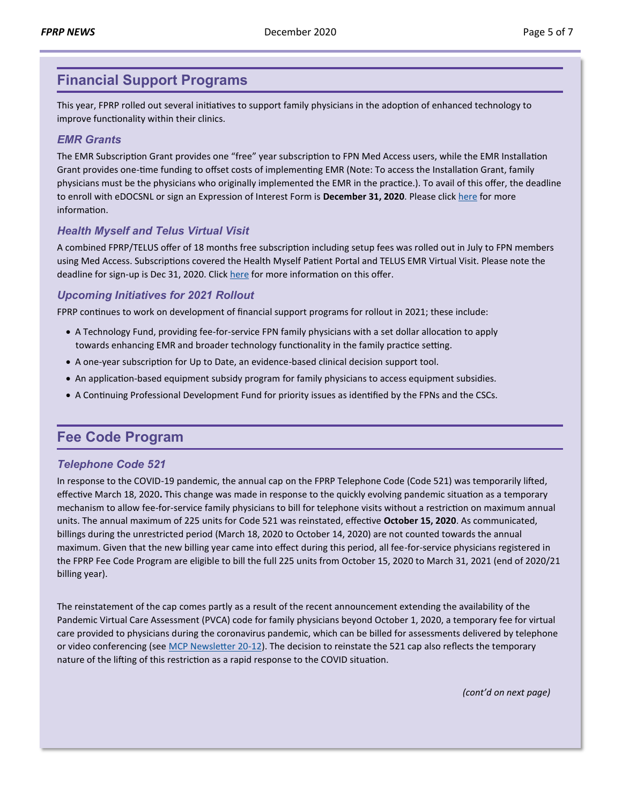### <span id="page-4-0"></span>**Financial Support Programs**

This year, FPRP rolled out several initiatives to support family physicians in the adoption of enhanced technology to improve functionality within their clinics.

#### *EMR Grants*

The EMR Subscription Grant provides one "free" year subscription to FPN Med Access users, while the EMR Installation Grant provides one-time funding to offset costs of implementing EMR (Note: To access the Installation Grant, family physicians must be the physicians who originally implemented the EMR in the practice.). To avail of this offer, the deadline to enroll with eDOCSNL or sign an Expression of Interest Form is **December 31, 2020**. Please click [here](http://familypracticerenewalnl.ca/wp-content/uploads/2020/01/2020.01.30_Financial_support_for_family_medicine_EMR_users_enrolled_in_eDOCSNL.pdf.) for more information.

#### *Health Myself and Telus Virtual Visit*

A combined FPRP/TELUS offer of 18 months free subscription including setup fees was rolled out in July to FPN members using Med Access. Subscriptions covered the Health Myself Patient Portal and TELUS EMR Virtual Visit. Please note the deadline for sign-up is Dec 31, 2020. Click [here](http://familypracticerenewalnl.ca/2020/10/02/healthmyselfandtelusemrvirtualvisit/) for more information on this offer.

#### *Upcoming Initiatives for 2021 Rollout*

FPRP continues to work on development of financial support programs for rollout in 2021; these include:

- A Technology Fund, providing fee-for-service FPN family physicians with a set dollar allocation to apply towards enhancing EMR and broader technology functionality in the family practice setting.
- A one-year subscription for Up to Date, an evidence-based clinical decision support tool.
- An application-based equipment subsidy program for family physicians to access equipment subsidies.
- A Continuing Professional Development Fund for priority issues as identified by the FPNs and the CSCs.

### **Fee Code Program**

#### *Telephone Code 521*

In response to the COVID-19 pandemic, the annual cap on the FPRP Telephone Code (Code 521) was temporarily lifted, effective March 18, 2020**.** This change was made in response to the quickly evolving pandemic situation as a temporary mechanism to allow fee-for-service family physicians to bill for telephone visits without a restriction on maximum annual units. The annual maximum of 225 units for Code 521 was reinstated, effective **October 15, 2020**. As communicated, billings during the unrestricted period (March 18, 2020 to October 14, 2020) are not counted towards the annual maximum. Given that the new billing year came into effect during this period, all fee-for-service physicians registered in the FPRP Fee Code Program are eligible to bill the full 225 units from October 15, 2020 to March 31, 2021 (end of 2020/21 billing year).

The reinstatement of the cap comes partly as a result of the recent announcement extending the availability of the Pandemic Virtual Care Assessment (PVCA) code for family physicians beyond October 1, 2020, a temporary fee for virtual care provided to physicians during the coronavirus pandemic, which can be billed for assessments delivered by telephone or video conferencing (see [MCP Newsletter 20](https://www.gov.nl.ca/hcs/files/20-12-Extension-of-PVCA-and-PVCCC-codes-FINAL.pdf)-12). The decision to reinstate the 521 cap also reflects the temporary nature of the lifting of this restriction as a rapid response to the COVID situation.

*(cont'd on next page)*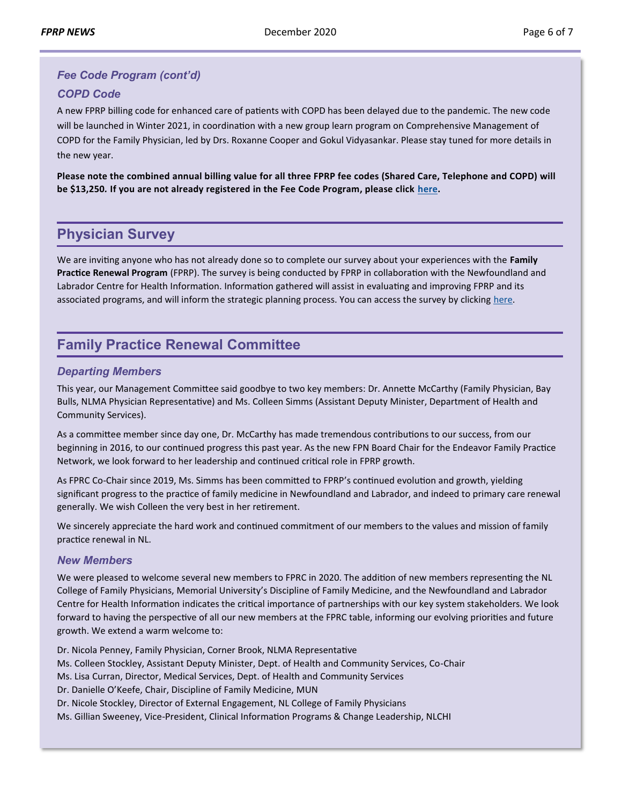# <span id="page-5-0"></span>*Fee Code Program (cont'd)*

#### *COPD Code*

A new FPRP billing code for enhanced care of patients with COPD has been delayed due to the pandemic. The new code will be launched in Winter 2021, in coordination with a new group learn program on Comprehensive Management of COPD for the Family Physician, led by Drs. Roxanne Cooper and Gokul Vidyasankar. Please stay tuned for more details in the new year.

**Please note the combined annual billing value for all three FPRP fee codes (Shared Care, Telephone and COPD) will be \$13,250***.* **If you are not already registered in the Fee Code Program, please click [here.](http://familypracticerenewalnl.ca/forms/fee-code-registration/)** 

### **Physician Survey**

We are inviting anyone who has not already done so to complete our survey about your experiences with the **Family Practice Renewal Program** (FPRP). The survey is being conducted by FPRP in collaboration with the Newfoundland and Labrador Centre for Health Information. Information gathered will assist in evaluating and improving FPRP and its associated programs, and will inform the strategic planning process. You can access the survey by clicking [here.](https://www.surveymonkey.com/r/FPRPSurvey2020)

# **Family Practice Renewal Committee**

#### *Departing Members*

This year, our Management Committee said goodbye to two key members: Dr. Annette McCarthy (Family Physician, Bay Bulls, NLMA Physician Representative) and Ms. Colleen Simms (Assistant Deputy Minister, Department of Health and Community Services).

As a committee member since day one, Dr. McCarthy has made tremendous contributions to our success, from our beginning in 2016, to our continued progress this past year. As the new FPN Board Chair for the Endeavor Family Practice Network, we look forward to her leadership and continued critical role in FPRP growth.

As FPRC Co-Chair since 2019, Ms. Simms has been committed to FPRP's continued evolution and growth, yielding significant progress to the practice of family medicine in Newfoundland and Labrador, and indeed to primary care renewal generally. We wish Colleen the very best in her retirement.

We sincerely appreciate the hard work and continued commitment of our members to the values and mission of family practice renewal in NL.

#### *New Members*

We were pleased to welcome several new members to FPRC in 2020. The addition of new members representing the NL College of Family Physicians, Memorial University's Discipline of Family Medicine, and the Newfoundland and Labrador Centre for Health Information indicates the critical importance of partnerships with our key system stakeholders. We look forward to having the perspective of all our new members at the FPRC table, informing our evolving priorities and future growth. We extend a warm welcome to:

Dr. Nicola Penney, Family Physician, Corner Brook, NLMA Representative Ms. Colleen Stockley, Assistant Deputy Minister, Dept. of Health and Community Services, Co-Chair Ms. Lisa Curran, Director, Medical Services, Dept. of Health and Community Services Dr. Danielle O'Keefe, Chair, Discipline of Family Medicine, MUN Dr. Nicole Stockley, Director of External Engagement, NL College of Family Physicians Ms. Gillian Sweeney, Vice-President, Clinical Information Programs & Change Leadership, NLCHI